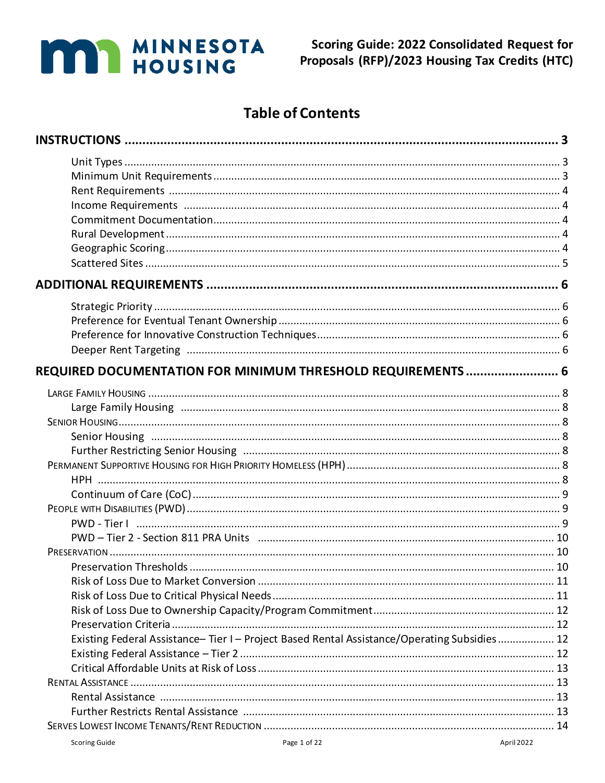# **MAN MINNESOTA**

## **Table of Contents**

| REQUIRED DOCUMENTATION FOR MINIMUM THRESHOLD REQUIREMENTS  6                              |  |
|-------------------------------------------------------------------------------------------|--|
|                                                                                           |  |
|                                                                                           |  |
|                                                                                           |  |
|                                                                                           |  |
|                                                                                           |  |
|                                                                                           |  |
|                                                                                           |  |
|                                                                                           |  |
|                                                                                           |  |
|                                                                                           |  |
|                                                                                           |  |
|                                                                                           |  |
|                                                                                           |  |
|                                                                                           |  |
|                                                                                           |  |
|                                                                                           |  |
|                                                                                           |  |
| Existing Federal Assistance-Tier I-Project Based Rental Assistance/Operating Subsidies 12 |  |
|                                                                                           |  |
|                                                                                           |  |
|                                                                                           |  |
|                                                                                           |  |
|                                                                                           |  |
|                                                                                           |  |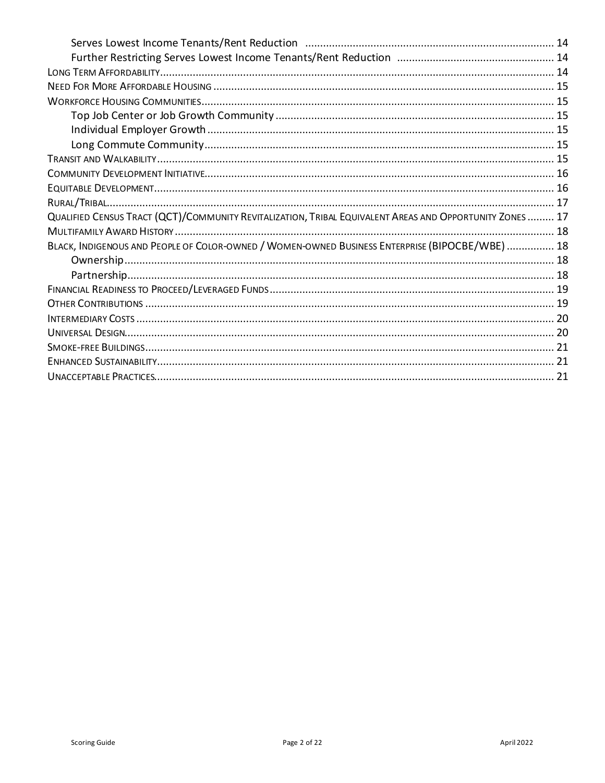| QUALIFIED CENSUS TRACT (QCT)/COMMUNITY REVITALIZATION, TRIBAL EQUIVALENT AREAS AND OPPORTUNITY ZONES 17 |  |
|---------------------------------------------------------------------------------------------------------|--|
|                                                                                                         |  |
| BLACK, INDIGENOUS AND PEOPLE OF COLOR-OWNED / WOMEN-OWNED BUSINESS ENTERPRISE (BIPOCBE/WBE)  18         |  |
|                                                                                                         |  |
|                                                                                                         |  |
|                                                                                                         |  |
|                                                                                                         |  |
|                                                                                                         |  |
|                                                                                                         |  |
|                                                                                                         |  |
|                                                                                                         |  |
|                                                                                                         |  |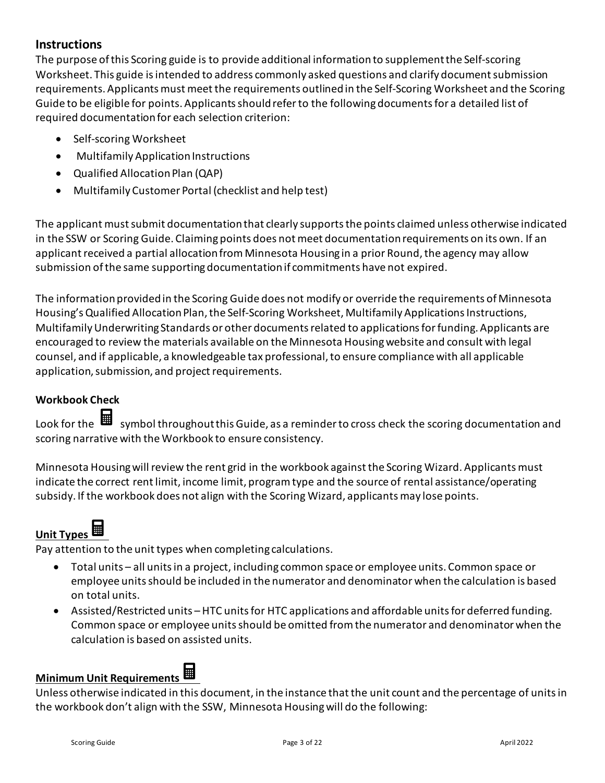### <span id="page-2-0"></span>**Instructions**

The purpose of this Scoring guide is to provide additional information to supplement the Self-scoring Worksheet. This guide is intended to address commonly asked questions and clarify document submission requirements. Applicants must meet the requirements outlined in the Self-Scoring Worksheet and the Scoring Guide to be eligible for points. Applicants should referto the following documents for a detailed list of required documentation for each selection criterion:

- Self-scoring Worksheet
- Multifamily Application Instructions
- Qualified Allocation Plan (QAP)
- Multifamily Customer Portal (checklist and help test)

The applicant must submit documentation that clearly supports the points claimed unless otherwise indicated in the SSW or Scoring Guide. Claiming points does not meet documentation requirements on its own. If an applicant received a partial allocation from Minnesota Housing in a prior Round, the agency may allow submission of the same supporting documentationif commitments have not expired.

The information provided in the Scoring Guide does not modify or override the requirements of Minnesota Housing's Qualified Allocation Plan, the Self-Scoring Worksheet, Multifamily Applications Instructions, Multifamily Underwriting Standards or other documents related to applications for funding. Applicants are encouraged to review the materials available on the Minnesota Housing website and consult with legal counsel, and if applicable, a knowledgeable tax professional, to ensure compliance with all applicable application, submission, and project requirements.

### **Workbook Check**

Look for the  $\blacksquare$  symbol throughout this Guide, as a reminder to cross check the scoring documentation and scoring narrative with the Workbook to ensure consistency.

Minnesota Housing will review the rent grid in the workbook against the Scoring Wizard. Applicants must indicate the correct rent limit, income limit, program type and the source of rental assistance/operating subsidy. If the workbook does not align with the Scoring Wizard, applicants may lose points.

# <span id="page-2-1"></span>**Unit Types**

Pay attention to the unit types when completing calculations.

- Total units all units in a project, including common space or employee units. Common space or employee units should be included in the numerator and denominator when the calculation is based on total units.
- Assisted/Restricted units –HTC units for HTC applications and affordable units for deferred funding. Common space or employee units should be omitted from the numerator and denominator when the calculation is based on assisted units.

### <span id="page-2-2"></span>**Minimum Unit Requirements**

Unless otherwise indicated in this document, in the instance that the unit count and the percentage of units in the workbook don't align with the SSW, Minnesota Housing will do the following: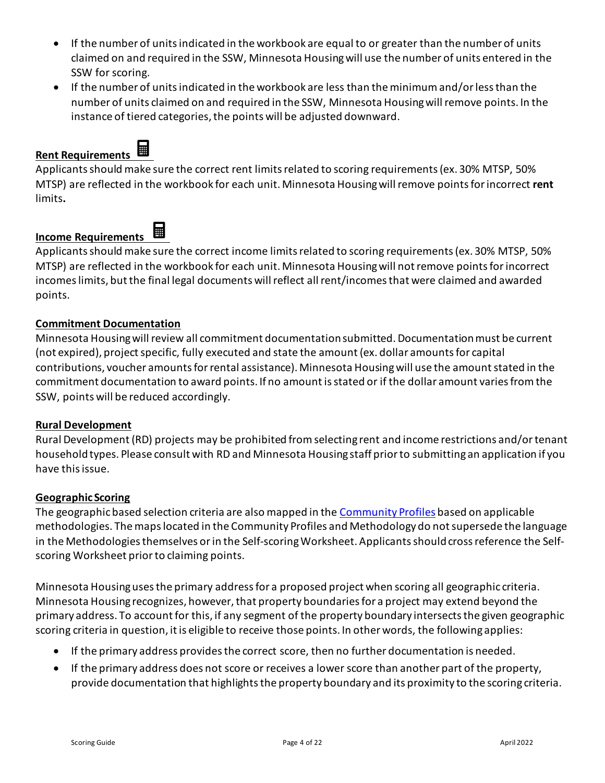- If the number of units indicated in the workbook are equal to or greater than the number of units claimed on and required in the SSW, Minnesota Housing will use the number of units entered in the SSW for scoring.
- If the number of units indicated in the workbook are less than the minimum and/or less than the number of units claimed on and required in the SSW, Minnesota Housing will remove points. In the instance of tiered categories, the points will be adjusted downward.

### <span id="page-3-0"></span>**Rent Requirements**



Applicants should make sure the correct rent limits related to scoring requirements (ex. 30% MTSP, 50% MTSP) are reflected in the workbook for each unit. Minnesota Housing will remove points for incorrect **rent** limits**.**

### <span id="page-3-1"></span>**Income Requirements**

Applicants should make sure the correct income limits related to scoring requirements(ex. 30% MTSP, 50% MTSP) are reflected in the workbook for each unit. Minnesota Housing will not remove points for incorrect incomeslimits, but the final legal documents will reflect all rent/incomes that were claimed and awarded points.

### <span id="page-3-2"></span>**Commitment Documentation**

Minnesota Housing will review all commitment documentation submitted. Documentation must be current (not expired), project specific, fully executed and state the amount (ex. dollar amounts for capital contributions, voucher amounts for rental assistance). Minnesota Housing will use the amount stated in the commitment documentation to award points. If no amount is stated or if the dollar amount varies from the SSW, points will be reduced accordingly.

### <span id="page-3-3"></span>**Rural Development**

Rural Development (RD) projects may be prohibited from selecting rent and income restrictions and/or tenant household types. Please consult with RD and Minnesota Housing staff prior to submitting an application if you have this issue.

### <span id="page-3-4"></span>**Geographic Scoring**

The geographic based selection criteria are also mapped in the [Community Profiles](https://www.mnhousing.gov/sites/np/profiles) based on applicable methodologies. The maps located in the Community Profiles and Methodology do not supersede the language in the Methodologies themselves or in the Self-scoring Worksheet. Applicants should cross reference the Selfscoring Worksheet prior to claiming points.

Minnesota Housing uses the primary address for a proposed project when scoring all geographic criteria. Minnesota Housing recognizes, however, that property boundaries for a project may extend beyond the primary address. To account for this, if any segment of the property boundary intersects the given geographic scoring criteria in question, it is eligible to receive those points. In other words, the following applies:

- If the primary address provides the correct score, then no further documentation is needed.
- If the primary address does not score or receives a lower score than another part of the property, provide documentation that highlights the property boundary and its proximity to the scoring criteria.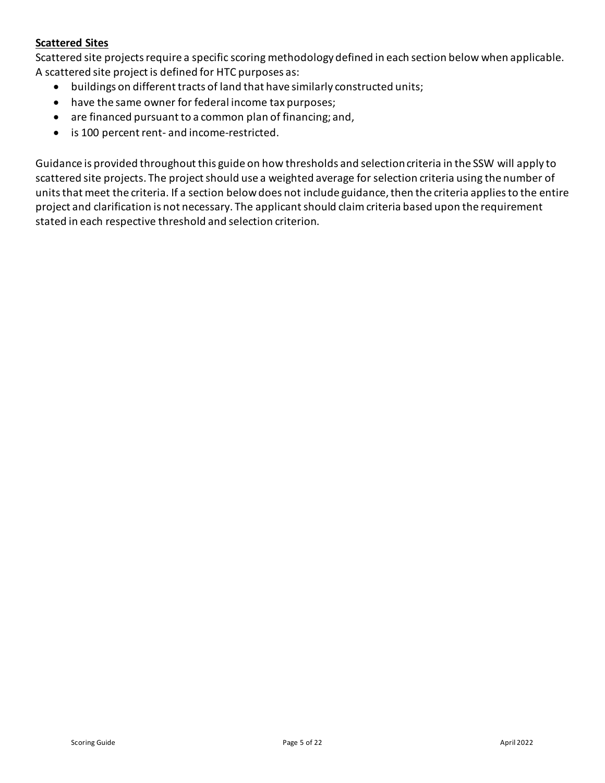### <span id="page-4-0"></span>**Scattered Sites**

Scattered site projects require a specific scoring methodology defined in each section below when applicable. A scattered site project is defined for HTC purposes as:

- buildings on different tracts of land that have similarly constructed units;
- have the same owner for federal income tax purposes;
- are financed pursuant to a common plan of financing; and,
- is 100 percent rent- and income-restricted.

Guidance is provided throughout this guide on how thresholds and selection criteria in the SSW will apply to scattered site projects. The project should use a weighted average for selection criteria using the number of units that meet the criteria. If a section below does not include guidance, then the criteria applies to the entire project and clarification is not necessary. The applicant should claim criteria based upon the requirement stated in each respective threshold and selection criterion.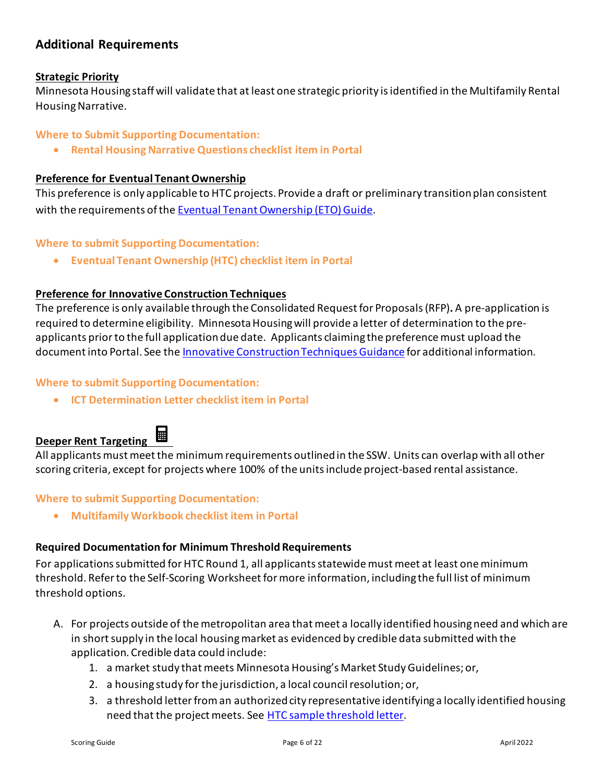### <span id="page-5-0"></span>**Additional Requirements**

### <span id="page-5-1"></span>**Strategic Priority**

Minnesota Housing staff will validate that at least one strategic priority is identified in the Multifamily Rental Housing Narrative.

### **Where to Submit Supporting Documentation:**

• **Rental Housing Narrative Questions checklist item in Portal** 

### <span id="page-5-2"></span>**Preference for Eventual Tenant Ownership**

This preference is only applicable to HTC projects. Provide a draft or preliminary transition plan consistent with the requirements of the [Eventual Tenant Ownership \(ETO\) Guide.](https://www.mnhousing.gov/get/MHFA_1044122)

### **Where to submit Supporting Documentation:**

• **Eventual Tenant Ownership (HTC) checklist item in Portal** 

### <span id="page-5-3"></span>**Preference for Innovative Construction Techniques**

The preference is only available through the Consolidated Request for Proposals (RFP)**.** A pre-application is required to determine eligibility. Minnesota Housing will provide a letter of determination to the preapplicants prior to the full application due date. Applicants claiming the preference must upload the document into Portal. See the [Innovative ConstructionTechniques](https://www.mnhousing.gov/get/MHFA_250652) Guidance for additional information.

### **Where to submit Supporting Documentation:**

• **ICT Determination Letter checklist item in Portal** 

### <span id="page-5-4"></span>**Deeper Rent Targeting**



All applicants must meet the minimum requirements outlined in the SSW. Units can overlap with all other scoring criteria, except for projects where 100% of the units include project-based rental assistance.

### **Where to submit Supporting Documentation:**

• **Multifamily Workbook checklist item in Portal** 

### <span id="page-5-5"></span>**Required Documentation for Minimum Threshold Requirements**

For applications submitted for HTC Round 1, all applicants statewide must meet at least one minimum threshold. Refer to the Self-Scoring Worksheet for more information, including the full list of minimum threshold options.

- A. For projects outside of the metropolitan area that meet a locally identified housing need and which are in short supply in the local housing market as evidenced by credible data submitted with the application. Credible data could include:
	- 1. a market study that meets Minnesota Housing's Market Study Guidelines; or,
	- 2. a housing study for the jurisdiction, a local council resolution; or,
	- 3. a threshold letter from an authorized city representative identifying a locally identified housing need that the project meets. See [HTC sample threshold letter.](https://www.mnhousing.gov/download/MHFA_250476)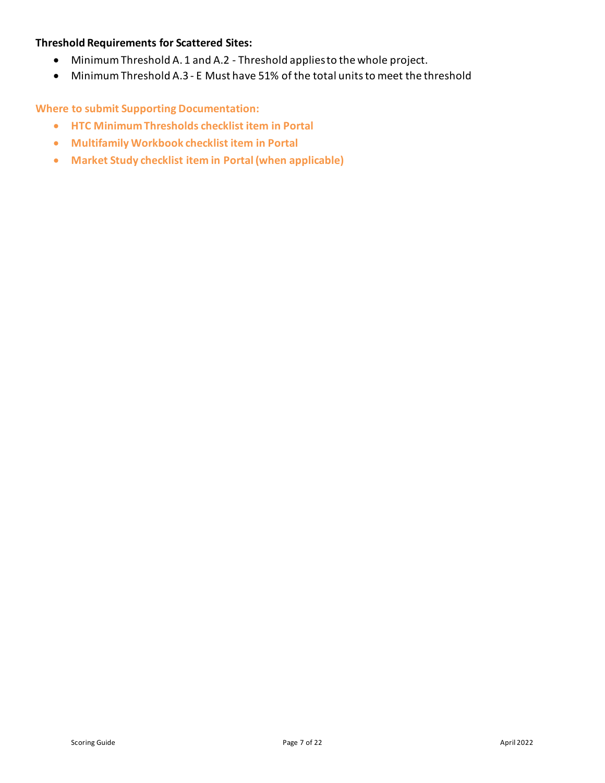### **Threshold Requirements for Scattered Sites:**

- Minimum Threshold A. 1 and A.2 Threshold applies to the whole project.
- Minimum Threshold A.3 E Must have 51% of the total units to meet the threshold

### **Where to submit Supporting Documentation:**

- **HTC Minimum Thresholds checklist item in Portal**
- **Multifamily Workbook checklist item in Portal**
- **Market Study checklist item in Portal (when applicable)**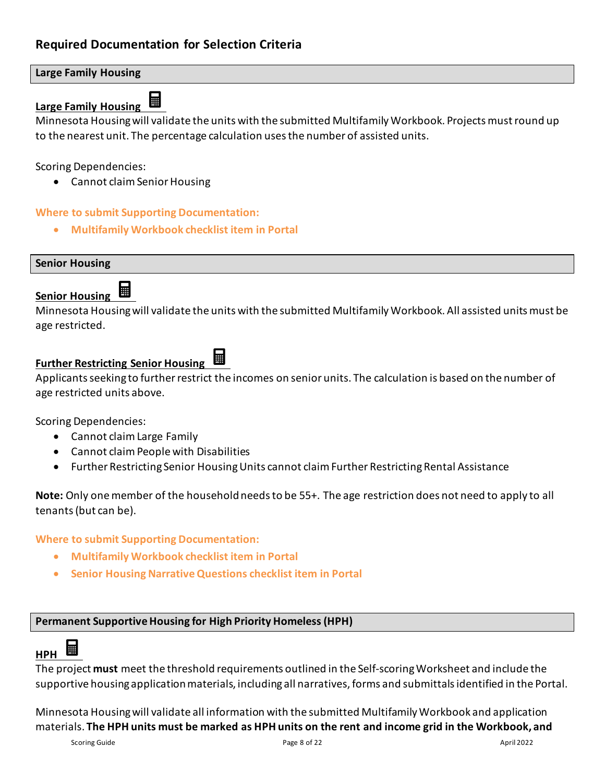### <span id="page-7-0"></span>**Large Family Housing**

#### <span id="page-7-1"></span>鬨 **Large Family Housing**

Minnesota Housing will validate the units with the submitted Multifamily Workbook. Projects must round up to the nearest unit. The percentage calculation usesthe number of assisted units.

Scoring Dependencies:

• Cannot claim Senior Housing

### **Where to submit Supporting Documentation:**

• **Multifamily Workbook checklist item in Portal** 

<span id="page-7-2"></span>**Senior Housing** 

#### <span id="page-7-3"></span>囲 **Senior Housing**

Minnesota Housing will validate the units with the submitted Multifamily Workbook. All assisted units must be age restricted.

### <span id="page-7-4"></span>**Further Restricting Senior Housing**

Applicants seeking to further restrict the incomes on senior units. The calculation is based on the number of age restricted units above.

Scoring Dependencies:

- Cannot claim Large Family
- Cannot claim People with Disabilities
- Further Restricting Senior Housing Units cannot claim Further Restricting Rental Assistance

**Note:** Only one member of the household needs to be 55+. The age restriction does not need to apply to all tenants (but can be).

**Where to submit Supporting Documentation:**

- **Multifamily Workbook checklist item in Portal**
- **Senior Housing Narrative Questions checklist item in Portal**

### <span id="page-7-5"></span>**Permanent Supportive Housing for High Priority Homeless (HPH)**

#### <span id="page-7-6"></span>鬨 **HPH**

The project **must** meet the threshold requirements outlined in the Self-scoring Worksheet and include the supportive housing application materials, including all narratives, forms and submittals identified in the Portal.

Minnesota Housing will validate all information with the submitted Multifamily Workbook and application materials. **The HPH units must be marked as HPH units on the rent and income grid in the Workbook, and**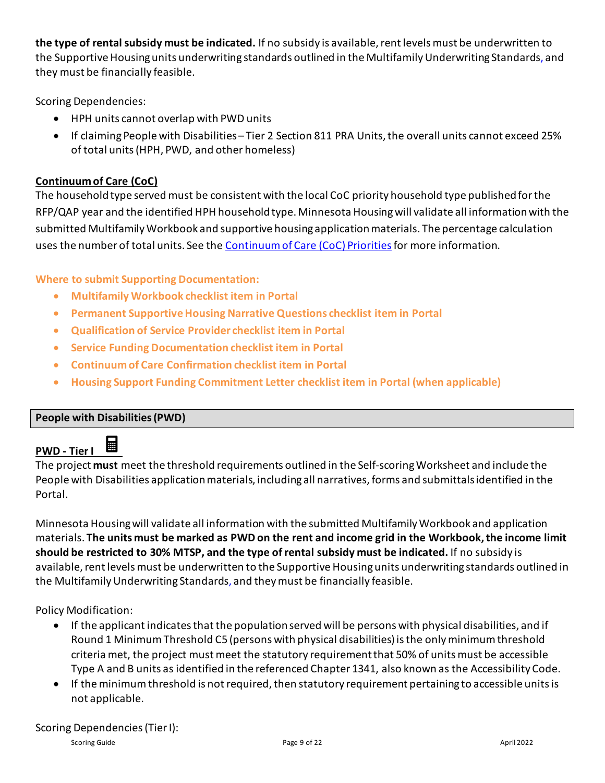**the type of rental subsidy must be indicated.** If no subsidy is available, rent levels must be underwritten to the Supportive Housing units underwriting standards outlined in the Multifamily Underwriting Standards, and they must be financially feasible.

Scoring Dependencies:

- HPH units cannot overlap with PWD units
- If claiming People with Disabilities Tier 2 Section 811 PRA Units, the overall units cannot exceed 25% of total units (HPH, PWD, and other homeless)

### <span id="page-8-0"></span>**Continuum of Care (CoC)**

The household type served must be consistent with the local CoC priority household type published for the RFP/QAP year and the identified HPH household type. Minnesota Housing will validate all information with the submitted Multifamily Workbook and supportive housing application materials. The percentage calculation uses the number of total units. See the [Continuum of Care \(CoC\) Priorities](http://www.mnhousing.gov/get/MHFA_238750)for more information.

### **Where to submit Supporting Documentation:**

- **Multifamily Workbook checklist item in Portal**
- **Permanent Supportive Housing Narrative Questions checklist item in Portal**
- **Qualification of Service Provider checklist item in Portal**
- **Service Funding Documentation checklist item in Portal**
- **Continuum of Care Confirmation checklist item in Portal**
- **Housing Support Funding Commitment Letter checklist item in Portal (when applicable)**

### <span id="page-8-1"></span>**People with Disabilities(PWD)**

#### <span id="page-8-2"></span>量 **PWD - Tier I**

The project **must** meet the threshold requirements outlined in the Self-scoring Worksheet and include the People with Disabilities application materials, including all narratives, forms and submittals identified in the Portal.

Minnesota Housing will validate all information with the submitted Multifamily Workbook and application materials. **The units must be marked as PWD on the rent and income grid in the Workbook, the income limit should be restricted to 30% MTSP, and the type of rental subsidy must be indicated.** If no subsidy is available, rent levels must be underwritten to the Supportive Housing units underwriting standards outlined in the Multifamily Underwriting Standards, and they must be financially feasible.

Policy Modification:

- If the applicant indicates that the population served will be persons with physical disabilities, and if Round 1 Minimum Threshold C5 (persons with physical disabilities) is the only minimum threshold criteria met, the project must meet the statutory requirement that 50% of units must be accessible Type A and B units as identified in the referenced Chapter 1341, also known as the Accessibility Code.
- If the minimum threshold is not required, then statutory requirement pertaining to accessible units is not applicable.

### Scoring Dependencies (Tier I):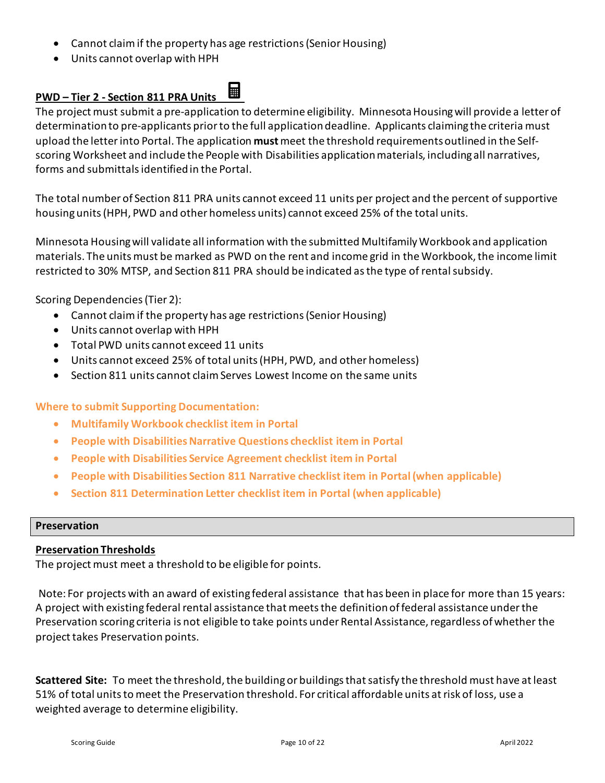- Cannot claim if the property has age restrictions (Senior Housing)
- Units cannot overlap with HPH

#### <span id="page-9-0"></span>圛 **PWD – Tier 2 - Section 811 PRA Units**

The project must submit a pre-application to determine eligibility. Minnesota Housing will provide a letter of determinationto pre-applicants prior to the full application deadline. Applicants claiming the criteria must upload the letter into Portal. The application **must**meet the threshold requirements outlined in the Selfscoring Worksheet and include the People with Disabilities application materials, including all narratives, forms and submittals identified in the Portal.

The total number of Section 811 PRA units cannot exceed 11 units per project and the percent of supportive housing units (HPH, PWD and other homeless units) cannot exceed 25% of the total units.

Minnesota Housing will validate all information with the submitted Multifamily Workbook and application materials. The units must be marked as PWD on the rent and income grid in the Workbook, the income limit restricted to 30% MTSP, and Section 811 PRA should be indicated as the type of rental subsidy.

Scoring Dependencies (Tier 2):

- Cannot claim if the property has age restrictions (Senior Housing)
- Units cannot overlap with HPH
- Total PWD units cannot exceed 11 units
- Units cannot exceed 25% of total units (HPH, PWD, and other homeless)
- Section 811 units cannot claim Serves Lowest Income on the same units

**Where to submit Supporting Documentation:**

- **Multifamily Workbook checklist item in Portal**
- **People with Disabilities Narrative Questions checklist item in Portal**
- **People with Disabilities Service Agreement checklist item in Portal**
- **People with Disabilities Section 811 Narrative checklist item in Portal(when applicable)**
- **Section 811 Determination Letter checklist item in Portal (when applicable)**

### <span id="page-9-1"></span>**Preservation**

### <span id="page-9-2"></span>**Preservation Thresholds**

The project must meet a threshold to be eligible for points.

Note: For projects with an award of existing federal assistance that has been in place for more than 15 years: A project with existing federal rental assistance that meets the definition of federal assistance under the Preservation scoring criteria is not eligible to take points under Rental Assistance, regardless of whether the project takes Preservation points.

**Scattered Site:** To meet the threshold, the building or buildings that satisfy the threshold must have at least 51% of total units to meet the Preservation threshold. For critical affordable units at risk of loss, use a weighted average to determine eligibility.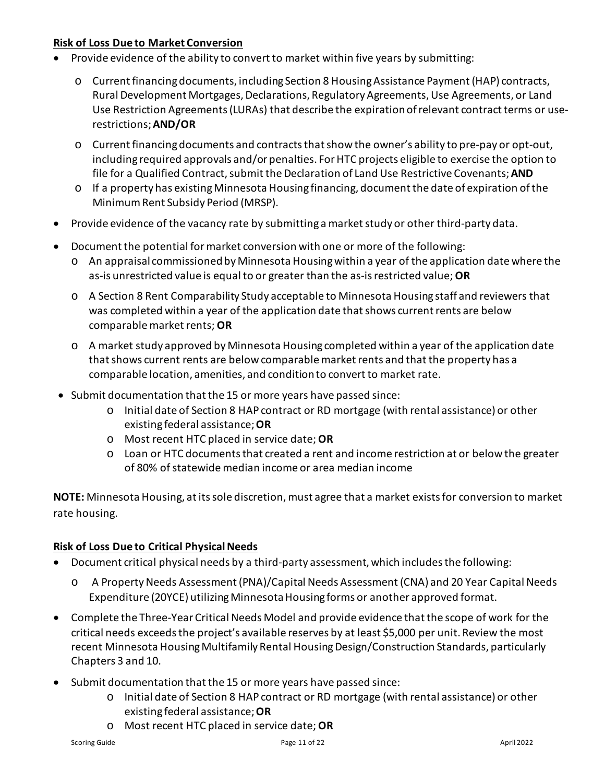### <span id="page-10-0"></span>**Risk of Loss Due to Market Conversion**

- Provide evidence of the ability to convert to market within five years by submitting:
	- o Current financing documents, including Section 8 Housing Assistance Payment (HAP) contracts, Rural Development Mortgages, Declarations, Regulatory Agreements, Use Agreements, or Land Use Restriction Agreements (LURAs) that describe the expiration of relevant contract terms or userestrictions; **AND/OR**
	- o Current financing documents and contracts that show the owner's ability to pre-pay or opt-out, including required approvals and/or penalties. For HTC projects eligible to exercise the option to file for a Qualified Contract, submit the Declaration of Land Use Restrictive Covenants; **AND**
	- o If a property has existing Minnesota Housing financing, document the date of expiration of the Minimum Rent Subsidy Period (MRSP).
- Provide evidence of the vacancy rate by submitting a market study or other third-party data.
- Document the potential for market conversion with one or more of the following:
	- o An appraisal commissioned by Minnesota Housing within a year of the application date where the as-is unrestricted value is equal to or greater than the as-is restricted value; **OR**
	- o A Section 8 Rent Comparability Study acceptable to Minnesota Housing staff and reviewers that was completed within a year of the application date that shows current rents are below comparable market rents; **OR**
	- o A market study approved by Minnesota Housing completed within a year of the application date that shows current rents are below comparable market rents and that the property has a comparable location, amenities, and condition to convert to market rate.
- Submit documentation that the 15 or more years have passed since:
	- o Initial date of Section 8 HAP contract or RD mortgage (with rental assistance) or other existing federal assistance;**OR**
	- o Most recent HTC placed in service date; **OR**
	- o Loan or HTC documents that created a rent and income restriction at or below the greater of 80% of statewide median income or area median income

**NOTE:** Minnesota Housing, at its sole discretion, must agree that a market exists for conversion to market rate housing.

### <span id="page-10-1"></span>**Risk of Loss Due to Critical Physical Needs**

- Document critical physical needs by a third-party assessment, which includes the following:
	- o A Property Needs Assessment (PNA)/Capital Needs Assessment (CNA) and 20 Year Capital Needs Expenditure (20YCE) utilizing Minnesota Housing forms or another approved format.
- Complete the Three-Year Critical Needs Model and provide evidence that the scope of work for the critical needs exceeds the project's available reserves by at least \$5,000 per unit. Review the most recent Minnesota Housing Multifamily Rental Housing Design/Construction Standards, particularly Chapters 3 and 10.
- Submit documentation that the 15 or more years have passed since:
	- o Initial date of Section 8 HAP contract or RD mortgage (with rental assistance) or other existing federal assistance;**OR**
	- o Most recent HTC placed in service date; **OR**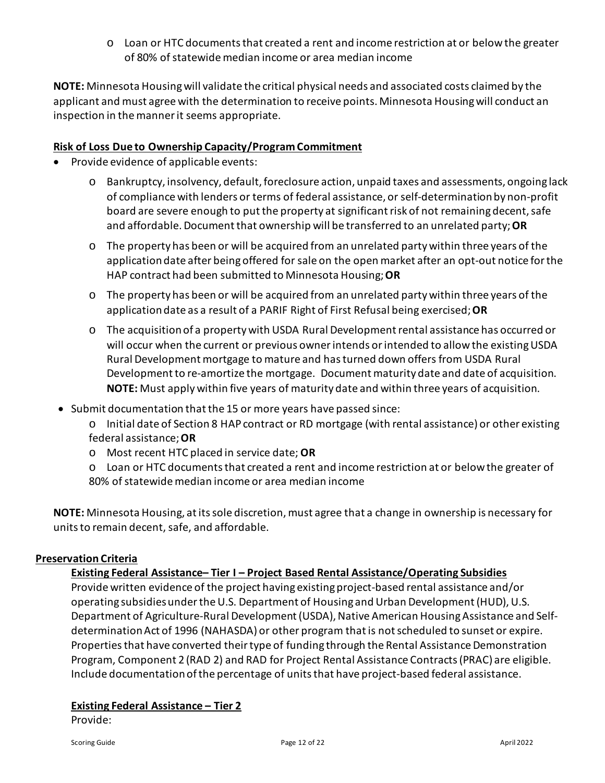o Loan or HTC documents that created a rent and income restriction at or below the greater of 80% of statewide median income or area median income

**NOTE:** Minnesota Housing will validate the critical physical needs and associated costs claimed by the applicant and must agree with the determination to receive points. Minnesota Housing will conduct an inspection in the manner it seems appropriate.

### <span id="page-11-0"></span>**Risk of Loss Due to Ownership Capacity/Program Commitment**

- Provide evidence of applicable events:
	- o Bankruptcy, insolvency, default, foreclosure action, unpaid taxes and assessments, ongoing lack of compliance with lenders or terms of federal assistance, or self-determination by non-profit board are severe enough to put the property at significant risk of not remaining decent, safe and affordable. Document that ownership will be transferred to an unrelated party; **OR**
	- o The property has been or will be acquired from an unrelated party within three years of the application date after being offered for sale on the open market after an opt-out notice for the HAP contract had been submitted to Minnesota Housing; **OR**
	- o The property has been or will be acquired from an unrelated party within three years of the application date as a result of a PARIF Right of First Refusal being exercised; **OR**
	- o The acquisition of a property with USDA Rural Development rental assistance has occurred or will occur when the current or previous owner intends or intended to allow the existing USDA Rural Development mortgage to mature and has turned down offers from USDA Rural Development to re-amortize the mortgage. Document maturity date and date of acquisition. **NOTE:** Must apply within five years of maturity date and within three years of acquisition.
- Submit documentation that the 15 or more years have passed since:
	- o Initial date of Section 8 HAP contract or RD mortgage (with rental assistance) or other existing federal assistance;**OR**
	- o Most recent HTC placed in service date; **OR**
	- o Loan or HTC documents that created a rent and income restriction at or below the greater of 80% of statewide median income or area median income

**NOTE:** Minnesota Housing, at its sole discretion, must agree that a change in ownership is necessary for units to remain decent, safe, and affordable.

### <span id="page-11-2"></span><span id="page-11-1"></span>**Preservation Criteria**

### **Existing Federal Assistance– Tier I – Project Based Rental Assistance/Operating Subsidies**

Provide written evidence of the project having existing project-based rental assistance and/or operating subsidies under the U.S. Department of Housing and Urban Development (HUD), U.S. Department of Agriculture-Rural Development (USDA), Native American Housing Assistance and Selfdetermination Act of 1996 (NAHASDA) or other program that is not scheduled to sunset or expire. Properties that have converted their type of funding through the Rental Assistance Demonstration Program, Component 2 (RAD 2) and RAD for Project Rental Assistance Contracts (PRAC) are eligible. Include documentation of the percentage of units that have project-based federal assistance.

### <span id="page-11-3"></span>**Existing Federal Assistance – Tier 2**

Provide: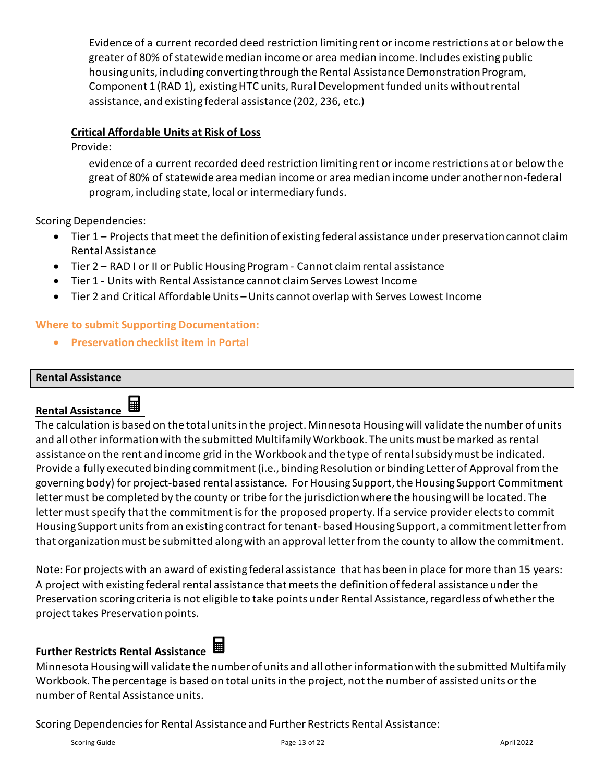Evidence of a current recorded deed restriction limiting rent or income restrictions at or below the greater of 80% of statewide median income or area median income. Includes existing public housing units, including converting through the Rental Assistance Demonstration Program, Component 1 (RAD 1), existing HTC units, Rural Development funded units without rental assistance, and existing federal assistance (202, 236, etc.)

### <span id="page-12-0"></span>**Critical Affordable Units at Risk of Loss**

Provide:

evidence of a current recorded deed restriction limiting rent or income restrictions at or below the great of 80% of statewide area median income or area median income under another non-federal program, including state, local or intermediary funds.

Scoring Dependencies:

- Tier 1 Projects that meet the definition of existing federal assistance under preservation cannot claim Rental Assistance
- Tier 2 RAD I or II or Public Housing Program Cannot claim rental assistance
- Tier 1 Units with Rental Assistance cannot claim Serves Lowest Income
- Tier 2 and Critical Affordable Units Units cannot overlap with Serves Lowest Income

### **Where to submit Supporting Documentation:**

• **Preservation checklist item in Portal** 

### <span id="page-12-1"></span>**Rental Assistance**

# <span id="page-12-2"></span>**Rental Assistance**

The calculation is based on the total units in the project. Minnesota Housing will validate the number of units and all other information with the submitted Multifamily Workbook. The units must be marked as rental assistance on the rent and income grid in the Workbook and the type of rental subsidy must be indicated. Provide a fully executed binding commitment(i.e., binding Resolution or binding Letter of Approval from the governing body) for project-based rental assistance. For Housing Support, the Housing Support Commitment letter must be completed by the county or tribe for the jurisdiction where the housing will be located. The letter must specify that the commitment is for the proposed property. If a service provider elects to commit Housing Support units from an existing contract for tenant- based Housing Support, a commitment letter from that organization must be submitted along with an approval letter from the county to allow the commitment.

Note: For projects with an award of existing federal assistance that has been in place for more than 15 years: A project with existing federal rental assistance that meets the definition of federal assistance under the Preservation scoring criteria is not eligible to take points under Rental Assistance, regardless of whether the project takes Preservation points.

# <span id="page-12-3"></span>**Further Restricts Rental Assistance**

Minnesota Housing will validate the number of units and all other information with the submitted Multifamily Workbook. The percentage is based on total units in the project, not the number of assisted units or the number of Rental Assistance units.

Scoring Dependenciesfor Rental Assistance and Further Restricts Rental Assistance: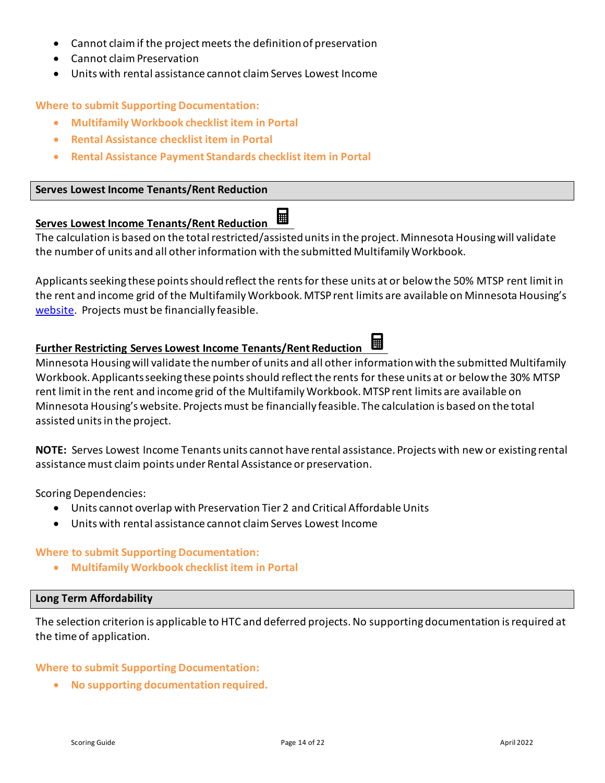- Cannot claim if the project meets the definition of preservation
- Cannot claim Preservation
- Units with rental assistance cannot claim Serves Lowest Income

### **Where to submit Supporting Documentation:**

- **Multifamily Workbook checklist item in Portal**
- **Rental Assistance checklist item in Portal**
- **Rental Assistance Payment Standards checklist item in Portal**

### <span id="page-13-0"></span>**Serves Lowest Income Tenants/Rent Reduction**

#### <span id="page-13-1"></span>⊞ **Serves Lowest Income Tenants/Rent Reduction**

The calculation is based on the total restricted/assisted unitsin the project. Minnesota Housing will validate the number of units and all other information with the submitted Multifamily Workbook.

Applicants seeking these points should reflect the rents for these units at or below the 50% MTSP rent limit in the rent and income grid of the Multifamily Workbook. MTSP rent limits are available on Minnesota Housing's [website.](https://www.mnhousing.gov/sites/multifamily/limits) Projects must be financially feasible.

#### <span id="page-13-2"></span>鬨 **Further Restricting Serves Lowest Income Tenants/Rent Reduction**

Minnesota Housing will validate the number of units and all other information with the submitted Multifamily Workbook. Applicants seeking these points should reflect the rents for these units at or below the 30% MTSP rent limit in the rent and income grid of the Multifamily Workbook. MTSP rent limits are available on Minnesota Housing's website. Projects must be financially feasible. The calculation is based on the total assisted units in the project.

**NOTE:** Serves Lowest Income Tenants units cannot have rental assistance. Projects with new or existing rental assistance must claim points under Rental Assistance or preservation.

Scoring Dependencies:

- Units cannot overlap with Preservation Tier 2 and Critical Affordable Units
- Units with rental assistance cannot claim Serves Lowest Income

### **Where to submit Supporting Documentation:**

• **Multifamily Workbook checklist item in Portal** 

### <span id="page-13-3"></span>**Long Term Affordability**

The selection criterion is applicable to HTC and deferred projects. No supporting documentation is required at the time of application.

### **Where to submit Supporting Documentation:**

• **No supporting documentation required.**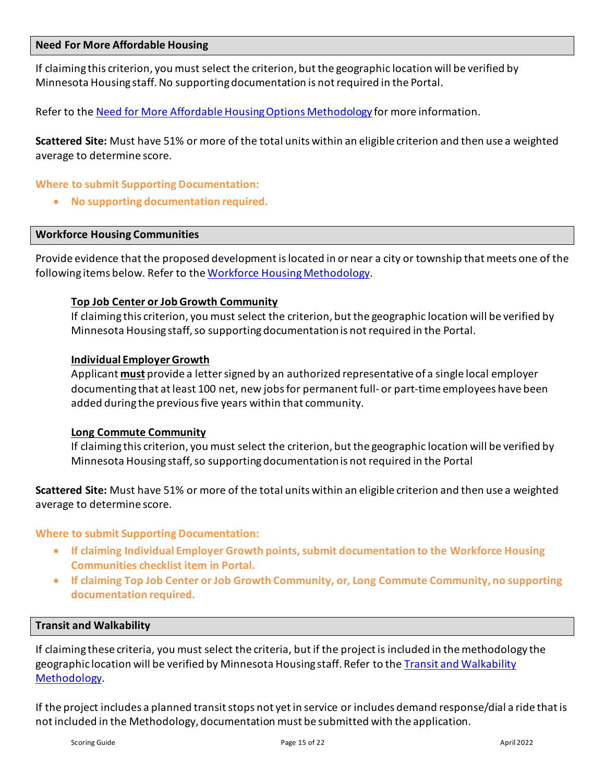### <span id="page-14-0"></span>**Need For More Affordable Housing**

If claiming this criterion, you must select the criterion, but the geographic location will be verified by Minnesota Housing staff. No supporting documentation is not required in the Portal.

Refer to the [Need for More Affordable Housing Options Methodology](https://www.mnhousing.gov/get/MHFA_238744) for more information.

**Scattered Site:** Must have 51% or more of the total units within an eligible criterion and then use a weighted average to determine score.

### **Where to submit Supporting Documentation:**

• **No supporting documentation required.**

### <span id="page-14-1"></span>**Workforce Housing Communities**

Provide evidence that the proposed development is located in or near a city or township that meets one of the following items below. Refer to th[e Workforce Housing Methodology.](https://www.mnhousing.gov/get/MHFA_238747)

### <span id="page-14-2"></span>**Top Job Center or Job Growth Community**

If claiming this criterion, you must select the criterion, but the geographic location will be verified by Minnesota Housing staff, so supporting documentation is not required in the Portal.

### <span id="page-14-3"></span>**Individual Employer Growth**

Applicant **must** provide a letter signed by an authorized representative of a single local employer documenting that at least 100 net, new jobs for permanent full- or part-time employees have been added during the previous five years within that community.

### <span id="page-14-4"></span>**Long Commute Community**

If claiming this criterion, you must select the criterion, but the geographic location will be verified by Minnesota Housing staff, so supporting documentation is not required in the Portal

**Scattered Site:** Must have 51% or more of the total units within an eligible criterion and then use a weighted average to determine score.

### **Where to submit Supporting Documentation:**

- **If claiming Individual Employer Growth points, submit documentation to the Workforce Housing Communities checklist item in Portal.**
- **If claiming Top Job Center or Job Growth Community, or, Long Commute Community, no supporting documentation required.**

### <span id="page-14-5"></span>**Transit and Walkability**

If claiming these criteria, you must select the criteria, but if the project is included in the methodology the geographic location will be verified by Minnesota Housing staff. Refer to the [Transit and Walkability](https://www.mnhousing.gov/get/MHFA_238745)  [Methodology.](https://www.mnhousing.gov/get/MHFA_238745)

If the project includes a planned transit stops not yet in service or includes demand response/dial a ride that is not included in the Methodology, documentation must be submitted with the application.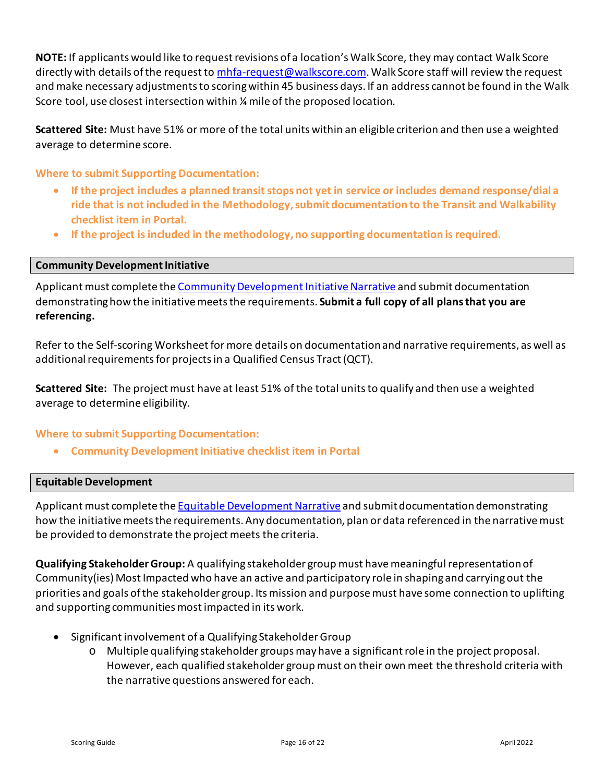**NOTE:** If applicants would like to request revisions of a location's Walk Score, they may contact Walk Score directly with details of the request to [mhfa-request@walkscore.com.](mailto:mhfa-request@walkscore.com) Walk Score staff will review the request and make necessary adjustments to scoring within 45 business days. If an address cannot be found in the Walk Score tool, use closest intersection within ¼ mile of the proposed location.

**Scattered Site:** Must have 51% or more of the total units within an eligible criterion and then use a weighted average to determine score.

**Where to submit Supporting Documentation:**

- **If the project includes a planned transit stops not yet in service or includes demand response/dial a ride that is not included in the Methodology, submit documentation to the Transit and Walkability checklist item in Portal.**
- **If the project is included in the methodology, no supporting documentation is required.**

### <span id="page-15-0"></span>**Community Development Initiative**

Applicant must complete the Community Development Initiative Narrative and submit documentation demonstrating how the initiativemeets the requirements. **Submit a full copy of all plans that you are referencing.**

Refer to the Self-scoring Worksheet for more details on documentation and narrative requirements, as well as additional requirements for projects in a Qualified Census Tract (QCT).

**Scattered Site:** The project must have at least 51% of the total units to qualify and then use a weighted average to determine eligibility.

### **Where to submit Supporting Documentation:**

• **Community Development Initiative checklist item in Portal**

### <span id="page-15-1"></span>**Equitable Development**

Applicant must complete the **Equitable Development Narrative** and submit documentation demonstrating how the initiative meets the requirements. Any documentation, plan or data referenced in the narrative must be provided to demonstrate the project meets the criteria.

**Qualifying Stakeholder Group:** A qualifying stakeholder group must have meaningful representation of Community(ies) Most Impacted who have an active and participatory role in shaping and carrying out the priorities and goals of the stakeholder group. Its mission and purpose must have some connection to uplifting and supporting communities most impacted in its work.

- Significant involvement of a Qualifying Stakeholder Group
	- o Multiple qualifying stakeholder groups may have a significant role in the project proposal. However, each qualified stakeholder group must on their own meet the threshold criteria with the narrative questions answered for each.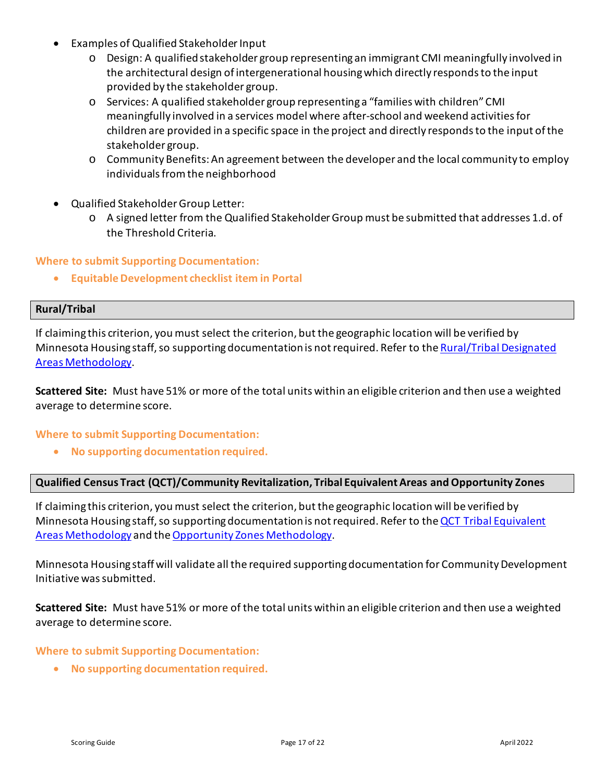- Examples of Qualified Stakeholder Input
	- o Design: A qualified stakeholder group representing an immigrant CMI meaningfully involved in the architectural design of intergenerational housing which directly responds to the input provided by the stakeholder group.
	- o Services: A qualified stakeholder group representing a "families with children" CMI meaningfully involved in a services model where after-school and weekend activities for children are provided in a specific space in the project and directly responds to the input of the stakeholder group.
	- o Community Benefits: An agreement between the developer and the local community to employ individuals from the neighborhood
- Qualified Stakeholder Group Letter:
	- o A signed letter from the Qualified Stakeholder Group must be submitted that addresses 1.d. of the Threshold Criteria.

### **Where to submit Supporting Documentation:**

• **Equitable Development checklist item in Portal**

### <span id="page-16-0"></span>**Rural/Tribal**

If claiming this criterion, you must select the criterion, but the geographic location will be verified by Minnesota Housing staff, so supporting documentation is not required. Refer to the Rural/Tribal Designated [Areas Methodology.](https://www.mnhousing.gov/get/MHFA_238749)

**Scattered Site:** Must have 51% or more of the total units within an eligible criterion and then use a weighted average to determine score.

### **Where to submit Supporting Documentation:**

• **No supporting documentation required.**

### <span id="page-16-1"></span>**Qualified Census Tract (QCT)/Community Revitalization, Tribal Equivalent Areas and Opportunity Zones**

If claiming this criterion, you must select the criterion, but the geographic location will be verified by Minnesota Housing staff, so supporting documentation is not required. Refer to the [QCT Tribal Equivalent](https://www.mnhousing.gov/get/MHFA_238746)  [Areas Methodology](https://www.mnhousing.gov/get/MHFA_238746) and th[e Opportunity Zones Methodology.](https://www.mnhousing.gov/get/MHFA_238920)

Minnesota Housing staff will validate all the required supporting documentation for Community Development Initiative was submitted.

**Scattered Site:** Must have 51% or more of the total units within an eligible criterion and then use a weighted average to determine score.

### **Where to submit Supporting Documentation:**

• **No supporting documentation required.**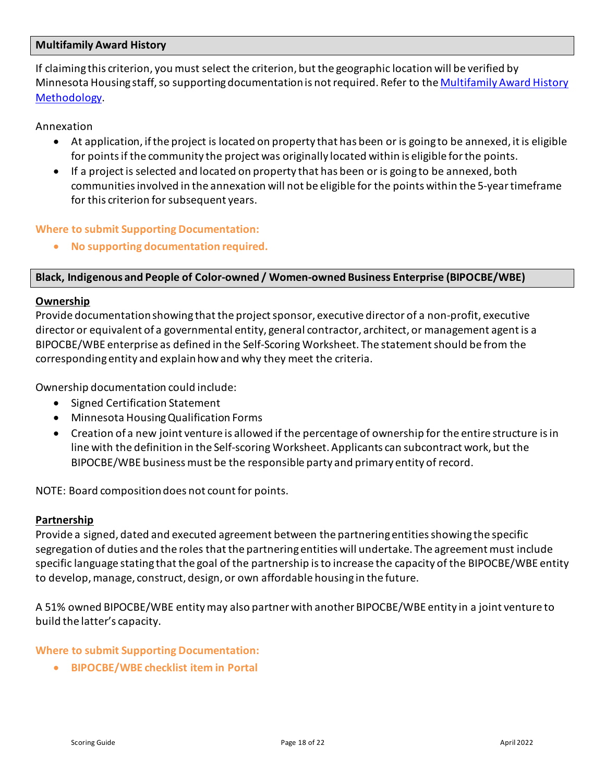### <span id="page-17-0"></span>**Multifamily Award History**

If claiming this criterion, you must select the criterion, butthe geographic location will be verified by Minnesota Housing staff, so supporting documentation is not required. Refer to the [Multifamily Award History](https://www.mnhousing.gov/get/MHFA_238742)  [Methodology.](https://www.mnhousing.gov/get/MHFA_238742)

Annexation

- At application, if the project is located on property that has been or is going to be annexed, it is eligible for points if the community the project was originally located within is eligible for the points.
- If a project is selected and located on property that has been or is going to be annexed, both communities involved in the annexation will not be eligible for the points within the 5-year timeframe for this criterion for subsequent years.

### **Where to submit Supporting Documentation:**

• **No supporting documentation required.**

### <span id="page-17-1"></span>**Black, Indigenous and People of Color-owned / Women-owned Business Enterprise (BIPOCBE/WBE)**

### <span id="page-17-2"></span>**Ownership**

Provide documentation showing that the project sponsor, executive director of a non-profit, executive director or equivalent of a governmental entity, general contractor, architect, or management agent is a BIPOCBE/WBE enterprise as defined in the Self-Scoring Worksheet. The statement should be from the corresponding entity and explain how and why they meet the criteria.

Ownership documentation could include:

- Signed Certification Statement
- Minnesota Housing Qualification Forms
- Creation of a new joint venture is allowed if the percentage of ownership for the entire structure is in line with the definition in the Self-scoring Worksheet. Applicants can subcontract work, but the BIPOCBE/WBE business must be the responsible party and primary entity of record.

NOTE: Board composition does not count for points.

### <span id="page-17-3"></span>**Partnership**

Provide a signed, dated and executed agreement between the partnering entities showing the specific segregation of duties and the roles that the partnering entities will undertake. The agreement must include specific language stating that the goal of the partnership is to increase the capacity of the BIPOCBE/WBE entity to develop, manage, construct, design, or own affordable housing in the future.

A 51% owned BIPOCBE/WBE entity may also partner with another BIPOCBE/WBE entity in a joint venture to build the latter's capacity.

### **Where to submit Supporting Documentation:**

• **BIPOCBE/WBE checklist item in Portal**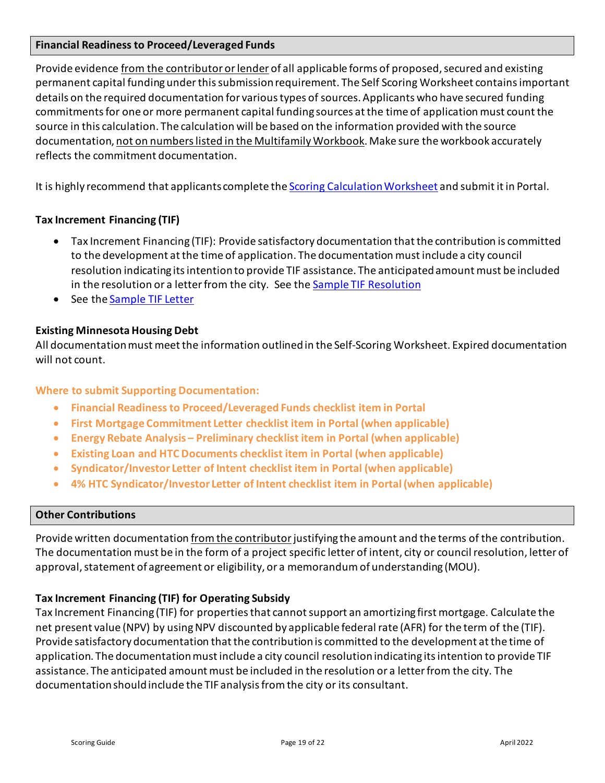### <span id="page-18-0"></span>**Financial Readiness to Proceed/Leveraged Funds**

Provide evidence from the contributor or lender of all applicable forms of proposed, secured and existing permanent capital funding under this submission requirement. The Self Scoring Worksheet contains important details on the required documentation for various types of sources. Applicants who have secured funding commitments for one or more permanent capital funding sources at the time of application must count the source in this calculation. The calculation will be based on the information provided with the source documentation, not on numbers listed in the Multifamily Workbook. Make sure the workbook accurately reflects the commitment documentation.

It is highly recommend that applicants complete the [Scoring Calculation Worksheet](https://www.mnhousing.gov/download/MHFA_250474) and submit it in Portal.

### **Tax Increment Financing (TIF)**

- Tax Increment Financing (TIF): Provide satisfactory documentation that the contribution is committed to the development at the time of application. The documentation must include a city council resolution indicating its intention to provide TIF assistance. The anticipated amount must be included in the resolution or a letter from the city. See the **Sample TIF Resolution**
- See the Sample [TIF Letter](https://www.mnhousing.gov/download/MHFA_250470)

### **Existing Minnesota Housing Debt**

All documentation must meet the information outlined in the Self-Scoring Worksheet. Expired documentation will not count.

### **Where to submit Supporting Documentation:**

- **Financial Readiness to Proceed/Leveraged Funds checklist item in Portal**
- **First Mortgage Commitment Letter checklist item in Portal (when applicable)**
- **Energy Rebate Analysis – Preliminary checklist item in Portal (when applicable)**
- **Existing Loan and HTC Documents checklist item in Portal (when applicable)**
- **Syndicator/Investor Letter of Intent checklist item in Portal (when applicable)**
- **4% HTC Syndicator/Investor Letter of Intent checklist item in Portal (when applicable)**

### <span id="page-18-1"></span>**Other Contributions**

Provide written documentation from the contributor justifying the amount and the terms of the contribution. The documentation must be in the form of a project specific letter of intent, city or council resolution, letter of approval, statement of agreement or eligibility, or a memorandum of understanding (MOU).

### **Tax Increment Financing (TIF) for Operating Subsidy**

Tax Increment Financing (TIF) for properties that cannot support an amortizing first mortgage. Calculate the net present value (NPV) by using NPV discounted by applicable federal rate (AFR) for the term of the (TIF). Provide satisfactory documentation that the contribution is committed to the development at the time of application. The documentation must include a city council resolution indicating its intention to provide TIF assistance. The anticipated amount must be included in the resolution or a letter from the city. The documentation should include the TIF analysis from the city or its consultant.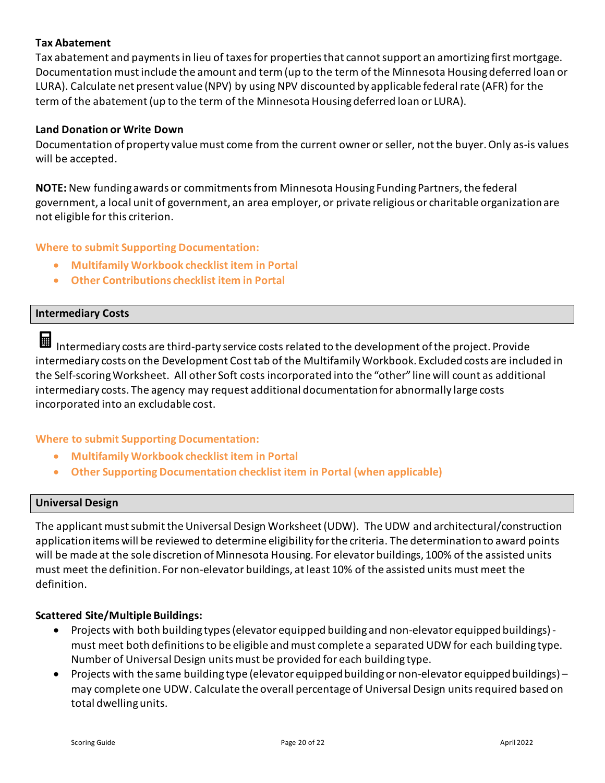### **Tax Abatement**

Tax abatement and payments in lieu of taxes for properties that cannot support an amortizing first mortgage. Documentation must include the amount and term (up to the term of the Minnesota Housing deferred loan or LURA). Calculate net present value (NPV) by using NPV discounted by applicable federal rate (AFR) for the term of the abatement (up to the term of the Minnesota Housing deferred loan or LURA).

### **Land Donation or Write Down**

Documentation of property value must come from the current owner or seller, not the buyer. Only as-is values will be accepted.

**NOTE:** New funding awards or commitments from Minnesota Housing Funding Partners, the federal government, a local unit of government, an area employer, or private religious or charitable organization are not eligible for this criterion.

### **Where to submit Supporting Documentation:**

- **Multifamily Workbook checklist item in Portal**
- **Other Contributions checklist item in Portal**

### <span id="page-19-0"></span>**Intermediary Costs**

囲 Intermediary costs are third-party service costs related to the development of the project. Provide intermediary costs on the Development Cost tab of the Multifamily Workbook. Excluded costs are included in the Self-scoring Worksheet. All other Soft costs incorporated into the "other" line will count as additional intermediary costs. The agency may request additional documentation for abnormally large costs incorporated into an excludable cost.

### **Where to submit Supporting Documentation:**

- **Multifamily Workbook checklist item in Portal**
- **Other Supporting Documentation checklist item in Portal (when applicable)**

### <span id="page-19-1"></span>**Universal Design**

The applicant must submit the Universal Design Worksheet(UDW). The UDW and architectural/construction applicationitems will be reviewed to determine eligibility for the criteria. The determination to award points will be made at the sole discretion of Minnesota Housing. For elevator buildings, 100% of the assisted units must meet the definition. For non-elevator buildings, at least 10% of the assisted units must meet the definition.

### **Scattered Site/Multiple Buildings:**

- Projects with both building types (elevator equipped building and non-elevator equipped buildings) must meet both definitions to be eligible and must complete a separated UDW for each building type. Number of Universal Design units must be provided for each building type.
- Projects with the same building type (elevator equipped building or non-elevator equipped buildings) may complete one UDW. Calculate the overall percentage of Universal Design units required based on total dwelling units.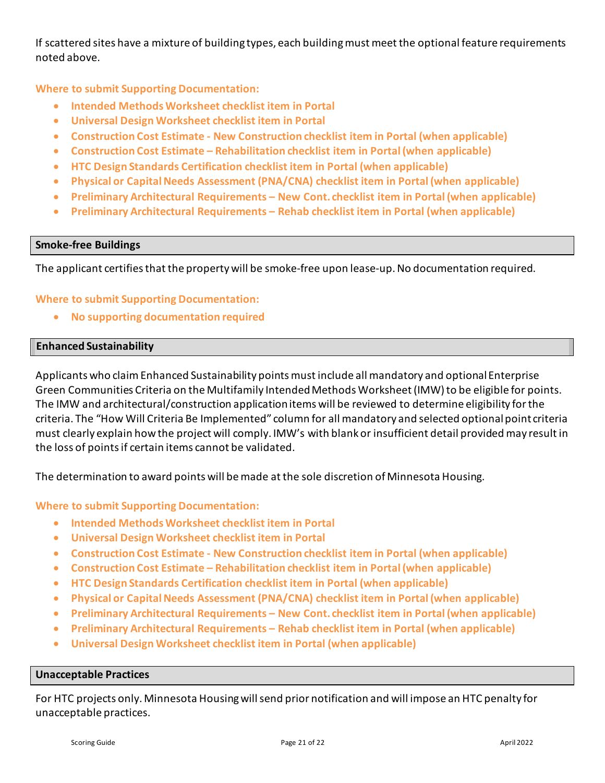If scattered sites have a mixture of building types, each building must meet the optional feature requirements noted above.

**Where to submit Supporting Documentation:**

- **Intended Methods Worksheet checklist item in Portal**
- **Universal Design Worksheet checklist item in Portal**
- **Construction Cost Estimate - New Construction checklist item in Portal (when applicable)**
- **Construction Cost Estimate – Rehabilitation checklist item in Portal (when applicable)**
- **HTC Design Standards Certification checklist item in Portal (when applicable)**
- **Physical or Capital Needs Assessment (PNA/CNA) checklist item in Portal (when applicable)**
- **Preliminary Architectural Requirements – New Cont. checklist item in Portal (when applicable)**
- **Preliminary Architectural Requirements – Rehab checklist item in Portal (when applicable)**

### <span id="page-20-0"></span>**Smoke-free Buildings**

The applicant certifies that the property will be smoke-free upon lease-up. No documentation required.

### **Where to submit Supporting Documentation:**

• **No supporting documentation required** 

### <span id="page-20-1"></span>**Enhanced Sustainability**

Applicants who claim Enhanced Sustainability points must include all mandatory and optional Enterprise Green Communities Criteria on the Multifamily Intended Methods Worksheet (IMW) to be eligible for points. The IMW and architectural/construction application items will be reviewed to determine eligibility for the criteria. The "How Will Criteria Be Implemented" column for all mandatory and selected optional point criteria must clearly explain how the project will comply. IMW's with blank or insufficient detail provided may result in the loss of points if certain items cannot be validated.

The determination to award points will be made at the sole discretion of Minnesota Housing.

### **Where to submit Supporting Documentation:**

- **Intended Methods Worksheet checklist item in Portal**
- **Universal Design Worksheet checklist item in Portal**
- **Construction Cost Estimate - New Construction checklist item in Portal (when applicable)**
- **Construction Cost Estimate – Rehabilitation checklist item in Portal (when applicable)**
- **HTC Design Standards Certification checklist item in Portal (when applicable)**
- **Physical or Capital Needs Assessment (PNA/CNA) checklist item in Portal (when applicable)**
- **Preliminary Architectural Requirements – New Cont. checklist item in Portal (when applicable)**
- **Preliminary Architectural Requirements – Rehab checklist item in Portal (when applicable)**
- **Universal Design Worksheet checklist item in Portal (when applicable)**

### <span id="page-20-2"></span>**Unacceptable Practices**

For HTC projects only. Minnesota Housing will send prior notification and will impose an HTC penalty for unacceptable practices.